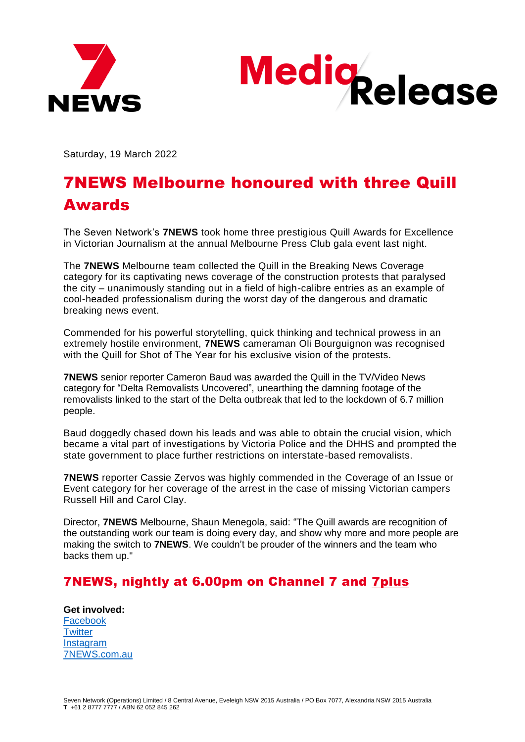



Saturday, 19 March 2022

## 7NEWS Melbourne honoured with three Quill Awards

The Seven Network's **7NEWS** took home three prestigious Quill Awards for Excellence in Victorian Journalism at the annual Melbourne Press Club gala event last night.

The **7NEWS** Melbourne team collected the Quill in the Breaking News Coverage category for its captivating news coverage of the construction protests that paralysed the city – unanimously standing out in a field of high-calibre entries as an example of cool-headed professionalism during the worst day of the dangerous and dramatic breaking news event.

Commended for his powerful storytelling, quick thinking and technical prowess in an extremely hostile environment, **7NEWS** cameraman Oli Bourguignon was recognised with the Quill for Shot of The Year for his exclusive vision of the protests.

**7NEWS** senior reporter Cameron Baud was awarded the Quill in the TV/Video News category for "Delta Removalists Uncovered", unearthing the damning footage of the removalists linked to the start of the Delta outbreak that led to the lockdown of 6.7 million people.

Baud doggedly chased down his leads and was able to obtain the crucial vision, which became a vital part of investigations by Victoria Police and the DHHS and prompted the state government to place further restrictions on interstate-based removalists.

**7NEWS** reporter Cassie Zervos was highly commended in the Coverage of an Issue or Event category for her coverage of the arrest in the case of missing Victorian campers Russell Hill and Carol Clay.

Director, **7NEWS** Melbourne, Shaun Menegola, said: "The Quill awards are recognition of the outstanding work our team is doing every day, and show why more and more people are making the switch to **7NEWS**. We couldn't be prouder of the winners and the team who backs them up."

## 7NEWS, nightly at 6.00pm on Channel 7 and [7plus](https://aus01.safelinks.protection.outlook.com/?url=https%3A%2F%2F7plus.com.au%2F&data=04%7C01%7CAJames%40Seven.com.au%7C43f2cabdb56541e3718608d9cd6ae5dd%7Cb359291241554399b790752c894d2935%7C0%7C0%7C637766683070142435%7CUnknown%7CTWFpbGZsb3d8eyJWIjoiMC4wLjAwMDAiLCJQIjoiV2luMzIiLCJBTiI6Ik1haWwiLCJXVCI6Mn0%3D%7C3000&sdata=uYvtoz%2BGMS08OpKpUsGEEQWOs0imGp2QKRy4eNxPlig%3D&reserved=0)

**Get involved:**  [Facebook](https://aus01.safelinks.protection.outlook.com/?url=https%3A%2F%2Fwww.facebook.com%2F7NEWSMelbourne&data=04%7C01%7CAJames%40Seven.com.au%7C43f2cabdb56541e3718608d9cd6ae5dd%7Cb359291241554399b790752c894d2935%7C0%7C0%7C637766683070142435%7CUnknown%7CTWFpbGZsb3d8eyJWIjoiMC4wLjAwMDAiLCJQIjoiV2luMzIiLCJBTiI6Ik1haWwiLCJXVCI6Mn0%3D%7C3000&sdata=%2F6AwCCsJGSUfovpHp5jL8NJyie2gfRvUkHANi%2BmmSG8%3D&reserved=0) **[Twitter](https://aus01.safelinks.protection.outlook.com/?url=https%3A%2F%2Ftwitter.com%2F7NewsMelbourne%3Fref_src%3Dtwsrc%255Egoogle%257Ctwcamp%255Eserp%257Ctwgr%255Eauthor&data=04%7C01%7CAJames%40Seven.com.au%7C43f2cabdb56541e3718608d9cd6ae5dd%7Cb359291241554399b790752c894d2935%7C0%7C0%7C637766683070142435%7CUnknown%7CTWFpbGZsb3d8eyJWIjoiMC4wLjAwMDAiLCJQIjoiV2luMzIiLCJBTiI6Ik1haWwiLCJXVCI6Mn0%3D%7C3000&sdata=tpBWiLNGB03iYvvmXQrn26D0TaItdchgeeI%2B20SiTPk%3D&reserved=0) [Instagram](https://aus01.safelinks.protection.outlook.com/?url=https%3A%2F%2Fwww.instagram.com%2F7newsmelbourne%2F&data=04%7C01%7CAJames%40Seven.com.au%7C43f2cabdb56541e3718608d9cd6ae5dd%7Cb359291241554399b790752c894d2935%7C0%7C0%7C637766683070142435%7CUnknown%7CTWFpbGZsb3d8eyJWIjoiMC4wLjAwMDAiLCJQIjoiV2luMzIiLCJBTiI6Ik1haWwiLCJXVCI6Mn0%3D%7C3000&sdata=gGGipa49NdqqoDaSqvLuO%2FK3N%2FLiY14b0cisRK4dPmI%3D&reserved=0)** [7NEWS.com.au](https://aus01.safelinks.protection.outlook.com/?url=https%3A%2F%2F7news.com.au%2Fnews%2Fvic&data=04%7C01%7CAJames%40Seven.com.au%7C43f2cabdb56541e3718608d9cd6ae5dd%7Cb359291241554399b790752c894d2935%7C0%7C0%7C637766683070142435%7CUnknown%7CTWFpbGZsb3d8eyJWIjoiMC4wLjAwMDAiLCJQIjoiV2luMzIiLCJBTiI6Ik1haWwiLCJXVCI6Mn0%3D%7C3000&sdata=SdNPY2yzc%2FHgi%2FPFoR2U2EIltv4FmnP2gPFuS%2FhYpZM%3D&reserved=0)